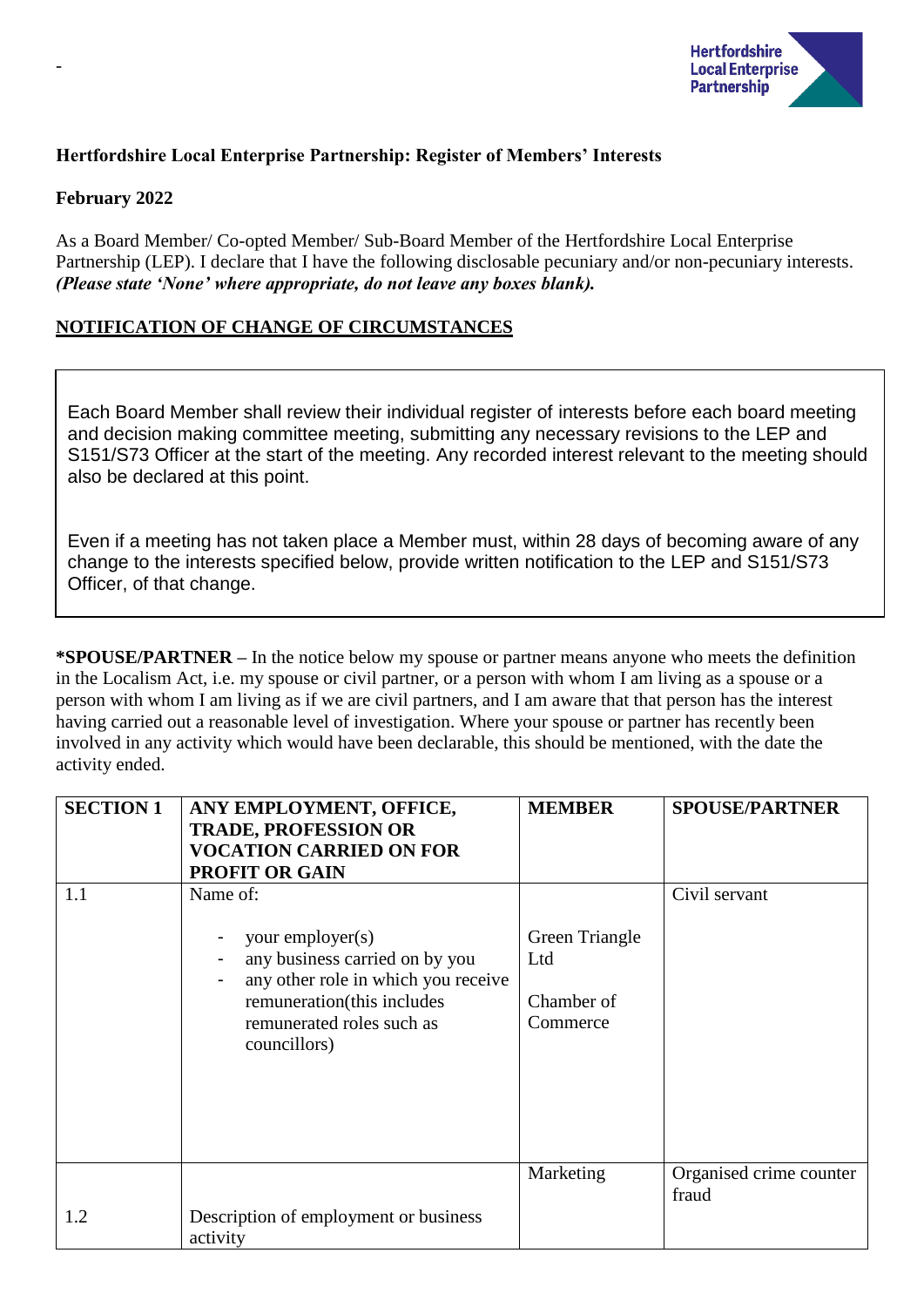

## **Hertfordshire Local Enterprise Partnership: Register of Members' Interests**

#### **February 2022**

-

As a Board Member/ Co-opted Member/ Sub-Board Member of the Hertfordshire Local Enterprise Partnership (LEP). I declare that I have the following disclosable pecuniary and/or non-pecuniary interests. *(Please state 'None' where appropriate, do not leave any boxes blank).*

## **NOTIFICATION OF CHANGE OF CIRCUMSTANCES**

Each Board Member shall review their individual register of interests before each board meeting and decision making committee meeting, submitting any necessary revisions to the LEP and S151/S73 Officer at the start of the meeting. Any recorded interest relevant to the meeting should also be declared at this point.

Even if a meeting has not taken place a Member must, within 28 days of becoming aware of any change to the interests specified below, provide written notification to the LEP and S151/S73 Officer, of that change.

**\*SPOUSE/PARTNER –** In the notice below my spouse or partner means anyone who meets the definition in the Localism Act, i.e. my spouse or civil partner, or a person with whom I am living as a spouse or a person with whom I am living as if we are civil partners, and I am aware that that person has the interest having carried out a reasonable level of investigation. Where your spouse or partner has recently been involved in any activity which would have been declarable, this should be mentioned, with the date the activity ended.

| <b>SECTION 1</b> | ANY EMPLOYMENT, OFFICE,<br><b>TRADE, PROFESSION OR</b><br><b>VOCATION CARRIED ON FOR</b><br><b>PROFIT OR GAIN</b>                                                                | <b>MEMBER</b>                                   | <b>SPOUSE/PARTNER</b>            |
|------------------|----------------------------------------------------------------------------------------------------------------------------------------------------------------------------------|-------------------------------------------------|----------------------------------|
| 1.1              | Name of:<br>your employer(s)<br>any business carried on by you<br>any other role in which you receive<br>remuneration(this includes<br>remunerated roles such as<br>councillors) | Green Triangle<br>Ltd<br>Chamber of<br>Commerce | Civil servant                    |
| 1.2              | Description of employment or business<br>activity                                                                                                                                | Marketing                                       | Organised crime counter<br>fraud |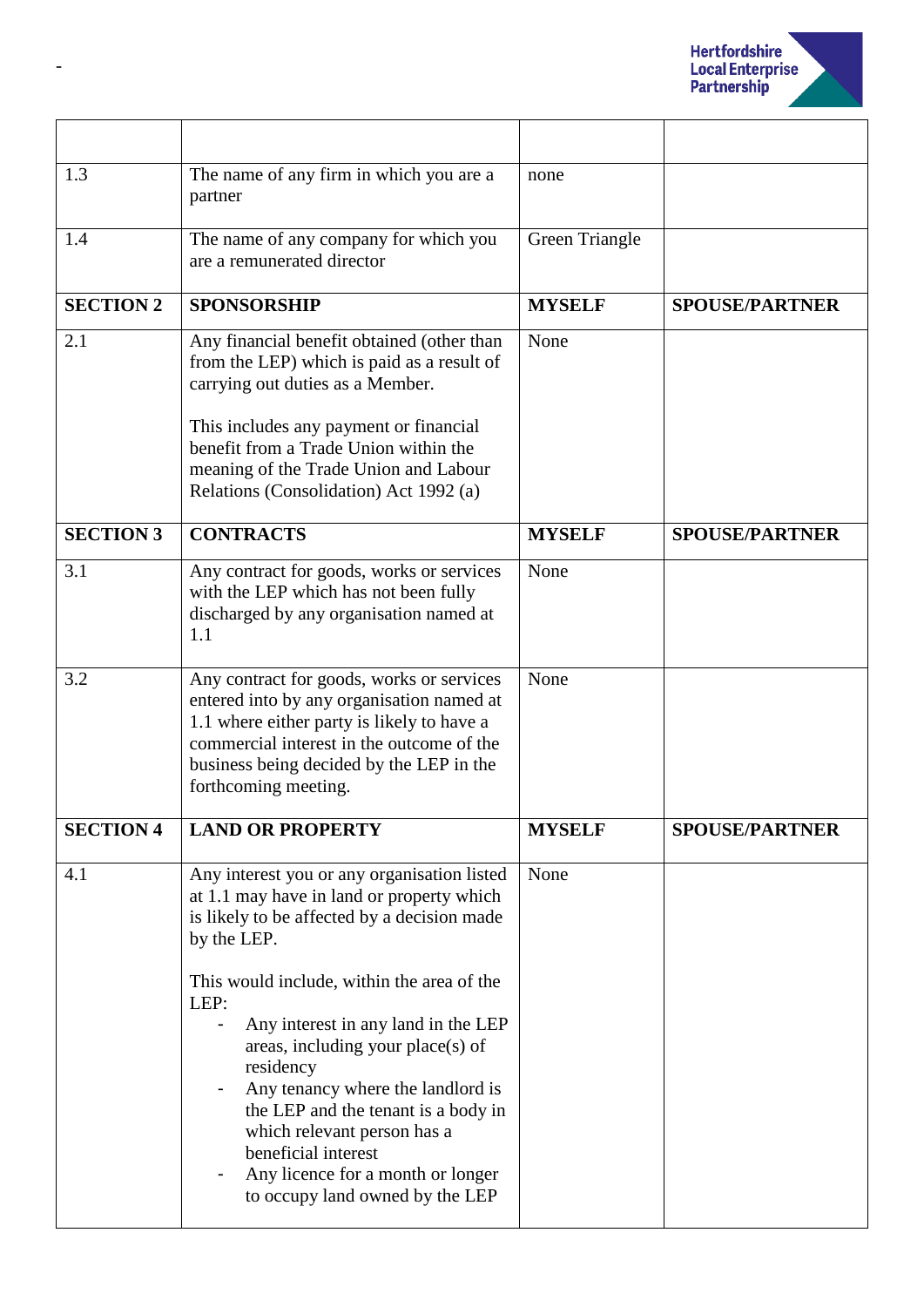

| 1.3              | The name of any firm in which you are a<br>partner                                                                                                                                                                                                                                                                                                                                                                                                                                                              | none           |                       |
|------------------|-----------------------------------------------------------------------------------------------------------------------------------------------------------------------------------------------------------------------------------------------------------------------------------------------------------------------------------------------------------------------------------------------------------------------------------------------------------------------------------------------------------------|----------------|-----------------------|
| 1.4              | The name of any company for which you<br>are a remunerated director                                                                                                                                                                                                                                                                                                                                                                                                                                             | Green Triangle |                       |
| <b>SECTION 2</b> | <b>SPONSORSHIP</b>                                                                                                                                                                                                                                                                                                                                                                                                                                                                                              | <b>MYSELF</b>  | <b>SPOUSE/PARTNER</b> |
| 2.1              | Any financial benefit obtained (other than<br>from the LEP) which is paid as a result of<br>carrying out duties as a Member.<br>This includes any payment or financial<br>benefit from a Trade Union within the<br>meaning of the Trade Union and Labour<br>Relations (Consolidation) Act 1992 (a)                                                                                                                                                                                                              | None           |                       |
| <b>SECTION 3</b> | <b>CONTRACTS</b>                                                                                                                                                                                                                                                                                                                                                                                                                                                                                                | <b>MYSELF</b>  | <b>SPOUSE/PARTNER</b> |
| 3.1              | Any contract for goods, works or services<br>with the LEP which has not been fully<br>discharged by any organisation named at<br>1.1                                                                                                                                                                                                                                                                                                                                                                            | None           |                       |
| 3.2              | Any contract for goods, works or services<br>entered into by any organisation named at<br>1.1 where either party is likely to have a<br>commercial interest in the outcome of the<br>business being decided by the LEP in the<br>forthcoming meeting.                                                                                                                                                                                                                                                           | None           |                       |
| <b>SECTION 4</b> | <b>LAND OR PROPERTY</b>                                                                                                                                                                                                                                                                                                                                                                                                                                                                                         | <b>MYSELF</b>  | <b>SPOUSE/PARTNER</b> |
| 4.1              | Any interest you or any organisation listed<br>at 1.1 may have in land or property which<br>is likely to be affected by a decision made<br>by the LEP.<br>This would include, within the area of the<br>LEP:<br>Any interest in any land in the LEP<br>areas, including your place(s) of<br>residency<br>Any tenancy where the landlord is<br>the LEP and the tenant is a body in<br>which relevant person has a<br>beneficial interest<br>Any licence for a month or longer<br>to occupy land owned by the LEP | None           |                       |

-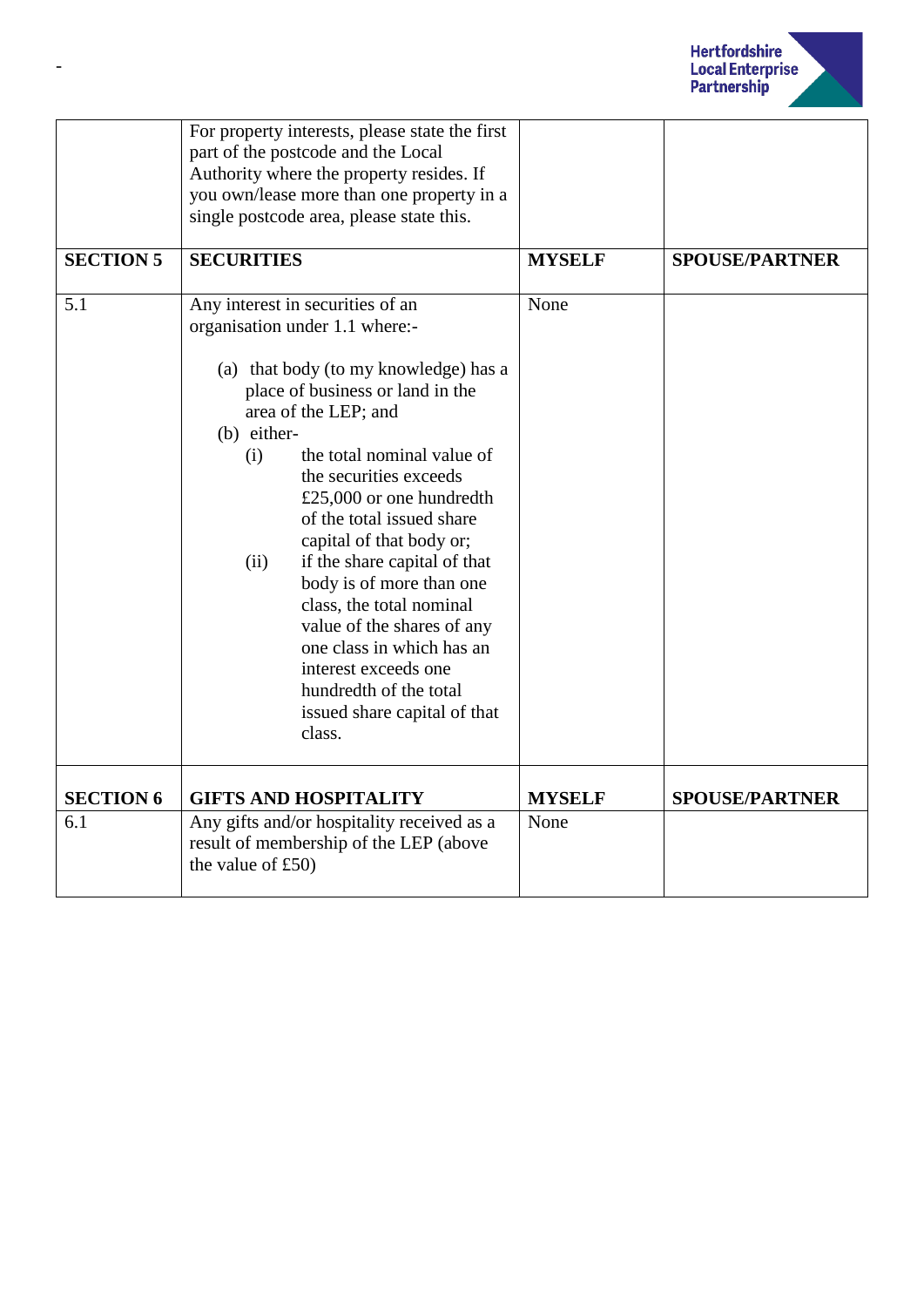

|                  | For property interests, please state the first |               |                       |
|------------------|------------------------------------------------|---------------|-----------------------|
|                  | part of the postcode and the Local             |               |                       |
|                  | Authority where the property resides. If       |               |                       |
|                  | you own/lease more than one property in a      |               |                       |
|                  | single postcode area, please state this.       |               |                       |
|                  |                                                |               |                       |
| <b>SECTION 5</b> | <b>SECURITIES</b>                              | <b>MYSELF</b> | <b>SPOUSE/PARTNER</b> |
|                  |                                                |               |                       |
| 5.1              | Any interest in securities of an               | None          |                       |
|                  | organisation under 1.1 where:-                 |               |                       |
|                  |                                                |               |                       |
|                  | (a) that body (to my knowledge) has a          |               |                       |
|                  | place of business or land in the               |               |                       |
|                  | area of the LEP; and                           |               |                       |
|                  | (b) either-                                    |               |                       |
|                  | the total nominal value of<br>(i)              |               |                       |
|                  | the securities exceeds                         |               |                       |
|                  | £25,000 or one hundredth                       |               |                       |
|                  | of the total issued share                      |               |                       |
|                  | capital of that body or;                       |               |                       |
|                  | if the share capital of that<br>(ii)           |               |                       |
|                  | body is of more than one                       |               |                       |
|                  | class, the total nominal                       |               |                       |
|                  | value of the shares of any                     |               |                       |
|                  | one class in which has an                      |               |                       |
|                  | interest exceeds one                           |               |                       |
|                  | hundredth of the total                         |               |                       |
|                  | issued share capital of that                   |               |                       |
|                  | class.                                         |               |                       |
|                  |                                                |               |                       |
|                  |                                                |               |                       |
| <b>SECTION 6</b> | <b>GIFTS AND HOSPITALITY</b>                   | <b>MYSELF</b> | <b>SPOUSE/PARTNER</b> |
| 6.1              | Any gifts and/or hospitality received as a     | None          |                       |
|                  | result of membership of the LEP (above         |               |                       |
|                  | the value of £50)                              |               |                       |
|                  |                                                |               |                       |

-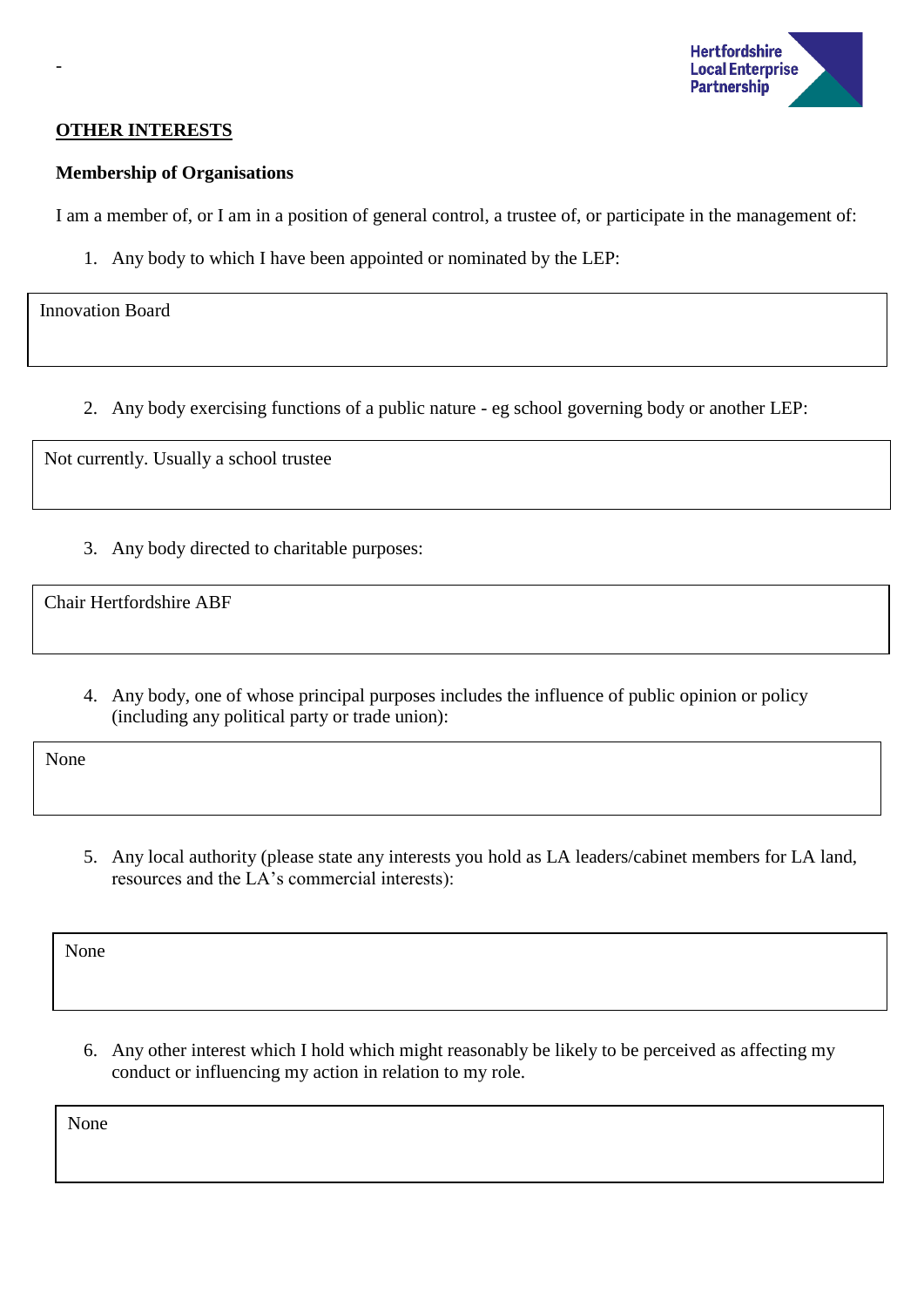

### **OTHER INTERESTS**

#### **Membership of Organisations**

I am a member of, or I am in a position of general control, a trustee of, or participate in the management of:

1. Any body to which I have been appointed or nominated by the LEP:

Innovation Board

-

2. Any body exercising functions of a public nature - eg school governing body or another LEP:

Not currently. Usually a school trustee

3. Any body directed to charitable purposes:

Chair Hertfordshire ABF

4. Any body, one of whose principal purposes includes the influence of public opinion or policy (including any political party or trade union):

None

5. Any local authority (please state any interests you hold as LA leaders/cabinet members for LA land, resources and the LA's commercial interests):

None

6. Any other interest which I hold which might reasonably be likely to be perceived as affecting my conduct or influencing my action in relation to my role.

None